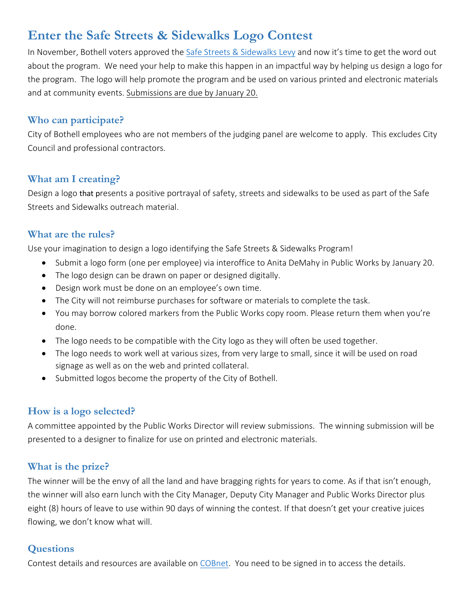# **Enter the Safe Streets & Sidewalks Logo Contest**

In November, Bothell voters approved the [Safe Streets & Sidewalks Levy](http://www.bothellwa.gov/884/Safe-Streets-and-Sidewalks) and now it's time to get the word out about the program. We need your help to make this happen in an impactful way by helping us design a logo for the program. The logo will help promote the program and be used on various printed and electronic materials and at community events. Submissions are due by January 20.

#### **Who can participate?**

City of Bothell employees who are not members of the judging panel are welcome to apply. This excludes City Council and professional contractors.

### **What am I creating?**

Design a logo that presents a positive portrayal of safety, streets and sidewalks to be used as part of the Safe Streets and Sidewalks outreach material.

### **What are the rules?**

Use your imagination to design a logo identifying the Safe Streets & Sidewalks Program!

- Submit a logo form (one per employee) via interoffice to Anita DeMahy in Public Works by January 20.
- The logo design can be drawn on paper or designed digitally.
- Design work must be done on an employee's own time.
- The City will not reimburse purchases for software or materials to complete the task.
- You may borrow colored markers from the Public Works copy room. Please return them when you're done.
- The logo needs to be compatible with the City logo as they will often be used together.
- The logo needs to work well at various sizes, from very large to small, since it will be used on road signage as well as on the web and printed collateral.
- Submitted logos become the property of the City of Bothell.

## **How is a logo selected?**

A committee appointed by the Public Works Director will review submissions. The winning submission will be presented to a designer to finalize for use on printed and electronic materials.

## **What is the prize?**

The winner will be the envy of all the land and have bragging rights for years to come. As if that isn't enough, the winner will also earn lunch with the City Manager, Deputy City Manager and Public Works Director plus eight (8) hours of leave to use within 90 days of winning the contest. If that doesn't get your creative juices flowing, we don't know what will.

## **Questions**

Contest details and resources are available on [COBnet.](http://www.bothellwa.gov/CivicAlerts.aspx?AID=143) You need to be signed in to access the details.